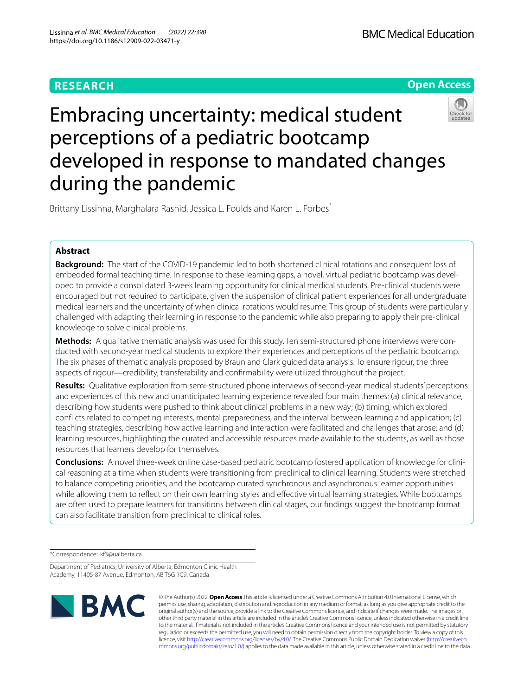# **RESEARCH**



# Embracing uncertainty: medical student perceptions of a pediatric bootcamp developed in response to mandated changes during the pandemic



Brittany Lissinna, Marghalara Rashid, Jessica L. Foulds and Karen L. Forbes<sup>7</sup>

# **Abstract**

**Background:** The start of the COVID-19 pandemic led to both shortened clinical rotations and consequent loss of embedded formal teaching time. In response to these learning gaps, a novel, virtual pediatric bootcamp was developed to provide a consolidated 3-week learning opportunity for clinical medical students. Pre-clinical students were encouraged but not required to participate, given the suspension of clinical patient experiences for all undergraduate medical learners and the uncertainty of when clinical rotations would resume. This group of students were particularly challenged with adapting their learning in response to the pandemic while also preparing to apply their pre-clinical knowledge to solve clinical problems.

**Methods:** A qualitative thematic analysis was used for this study. Ten semi-structured phone interviews were conducted with second-year medical students to explore their experiences and perceptions of the pediatric bootcamp. The six phases of thematic analysis proposed by Braun and Clark guided data analysis. To ensure rigour, the three aspects of rigour—credibility, transferability and confrmability were utilized throughout the project.

**Results:** Qualitative exploration from semi-structured phone interviews of second-year medical students' perceptions and experiences of this new and unanticipated learning experience revealed four main themes: (a) clinical relevance, describing how students were pushed to think about clinical problems in a new way; (b) timing, which explored conficts related to competing interests, mental preparedness, and the interval between learning and application; (c) teaching strategies, describing how active learning and interaction were facilitated and challenges that arose; and (d) learning resources, highlighting the curated and accessible resources made available to the students, as well as those resources that learners develop for themselves.

**Conclusions:** A novel three-week online case-based pediatric bootcamp fostered application of knowledge for clinical reasoning at a time when students were transitioning from preclinical to clinical learning. Students were stretched to balance competing priorities, and the bootcamp curated synchronous and asynchronous learner opportunities while allowing them to refect on their own learning styles and efective virtual learning strategies. While bootcamps are often used to prepare learners for transitions between clinical stages, our fndings suggest the bootcamp format can also facilitate transition from preclinical to clinical roles.

\*Correspondence: kf3@ualberta.ca

Department of Pediatrics, University of Alberta, Edmonton Clinic Health Academy, 11405-87 Avenue, Edmonton, AB T6G 1C9, Canada



© The Author(s) 2022. **Open Access** This article is licensed under a Creative Commons Attribution 4.0 International License, which permits use, sharing, adaptation, distribution and reproduction in any medium or format, as long as you give appropriate credit to the original author(s) and the source, provide a link to the Creative Commons licence, and indicate if changes were made. The images or other third party material in this article are included in the article's Creative Commons licence, unless indicated otherwise in a credit line to the material. If material is not included in the article's Creative Commons licence and your intended use is not permitted by statutory regulation or exceeds the permitted use, you will need to obtain permission directly from the copyright holder. To view a copy of this licence, visit [http://creativecommons.org/licenses/by/4.0/.](http://creativecommons.org/licenses/by/4.0/) The Creative Commons Public Domain Dedication waiver ([http://creativeco](http://creativecommons.org/publicdomain/zero/1.0/) [mmons.org/publicdomain/zero/1.0/](http://creativecommons.org/publicdomain/zero/1.0/)) applies to the data made available in this article, unless otherwise stated in a credit line to the data.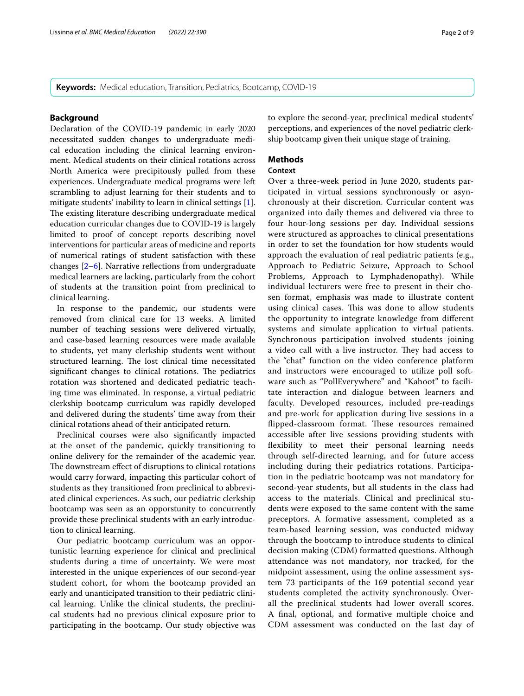**Keywords:** Medical education, Transition, Pediatrics, Bootcamp, COVID-19

### **Background**

Declaration of the COVID-19 pandemic in early 2020 necessitated sudden changes to undergraduate medical education including the clinical learning environment. Medical students on their clinical rotations across North America were precipitously pulled from these experiences. Undergraduate medical programs were left scrambling to adjust learning for their students and to mitigate students' inability to learn in clinical settings [\[1](#page-8-0)]. The existing literature describing undergraduate medical education curricular changes due to COVID-19 is largely limited to proof of concept reports describing novel interventions for particular areas of medicine and reports of numerical ratings of student satisfaction with these changes [[2](#page-8-1)[–6](#page-8-2)]. Narrative refections from undergraduate medical learners are lacking, particularly from the cohort of students at the transition point from preclinical to clinical learning.

In response to the pandemic, our students were removed from clinical care for 13 weeks. A limited number of teaching sessions were delivered virtually, and case-based learning resources were made available to students, yet many clerkship students went without structured learning. The lost clinical time necessitated significant changes to clinical rotations. The pediatrics rotation was shortened and dedicated pediatric teaching time was eliminated. In response, a virtual pediatric clerkship bootcamp curriculum was rapidly developed and delivered during the students' time away from their clinical rotations ahead of their anticipated return.

Preclinical courses were also signifcantly impacted at the onset of the pandemic, quickly transitioning to online delivery for the remainder of the academic year. The downstream effect of disruptions to clinical rotations would carry forward, impacting this particular cohort of students as they transitioned from preclinical to abbreviated clinical experiences. As such, our pediatric clerkship bootcamp was seen as an opporstunity to concurrently provide these preclinical students with an early introduction to clinical learning.

Our pediatric bootcamp curriculum was an opportunistic learning experience for clinical and preclinical students during a time of uncertainty. We were most interested in the unique experiences of our second-year student cohort, for whom the bootcamp provided an early and unanticipated transition to their pediatric clinical learning. Unlike the clinical students, the preclinical students had no previous clinical exposure prior to participating in the bootcamp. Our study objective was to explore the second-year, preclinical medical students' perceptions, and experiences of the novel pediatric clerkship bootcamp given their unique stage of training.

# **Methods**

### **Context**

Over a three-week period in June 2020, students participated in virtual sessions synchronously or asynchronously at their discretion. Curricular content was organized into daily themes and delivered via three to four hour-long sessions per day. Individual sessions were structured as approaches to clinical presentations in order to set the foundation for how students would approach the evaluation of real pediatric patients (e.g., Approach to Pediatric Seizure, Approach to School Problems, Approach to Lymphadenopathy). While individual lecturers were free to present in their chosen format, emphasis was made to illustrate content using clinical cases. This was done to allow students the opportunity to integrate knowledge from diferent systems and simulate application to virtual patients. Synchronous participation involved students joining a video call with a live instructor. They had access to the "chat" function on the video conference platform and instructors were encouraged to utilize poll software such as "PollEverywhere" and "Kahoot" to facilitate interaction and dialogue between learners and faculty. Developed resources, included pre-readings and pre-work for application during live sessions in a flipped-classroom format. These resources remained accessible after live sessions providing students with fexibility to meet their personal learning needs through self-directed learning, and for future access including during their pediatrics rotations. Participation in the pediatric bootcamp was not mandatory for second-year students, but all students in the class had access to the materials. Clinical and preclinical students were exposed to the same content with the same preceptors. A formative assessment, completed as a team-based learning session, was conducted midway through the bootcamp to introduce students to clinical decision making (CDM) formatted questions. Although attendance was not mandatory, nor tracked, for the midpoint assessment, using the online assessment system 73 participants of the 169 potential second year students completed the activity synchronously. Overall the preclinical students had lower overall scores. A fnal, optional, and formative multiple choice and CDM assessment was conducted on the last day of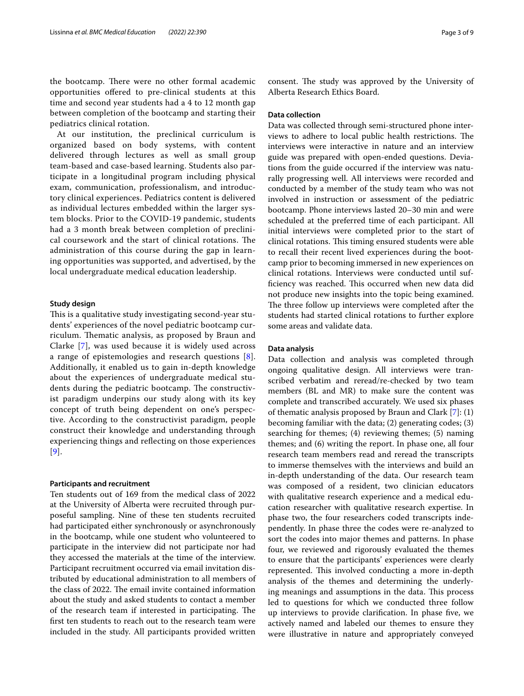the bootcamp. There were no other formal academic opportunities ofered to pre-clinical students at this time and second year students had a 4 to 12 month gap between completion of the bootcamp and starting their pediatrics clinical rotation.

At our institution, the preclinical curriculum is organized based on body systems, with content delivered through lectures as well as small group team-based and case-based learning. Students also participate in a longitudinal program including physical exam, communication, professionalism, and introductory clinical experiences. Pediatrics content is delivered as individual lectures embedded within the larger system blocks. Prior to the COVID-19 pandemic, students had a 3 month break between completion of preclinical coursework and the start of clinical rotations. The administration of this course during the gap in learning opportunities was supported, and advertised, by the local undergraduate medical education leadership.

#### **Study design**

This is a qualitative study investigating second-year students' experiences of the novel pediatric bootcamp curriculum. Thematic analysis, as proposed by Braun and Clarke [[7\]](#page-8-3), was used because it is widely used across a range of epistemologies and research questions [[8\]](#page-8-4). Additionally, it enabled us to gain in-depth knowledge about the experiences of undergraduate medical students during the pediatric bootcamp. The constructivist paradigm underpins our study along with its key concept of truth being dependent on one's perspective. According to the constructivist paradigm, people construct their knowledge and understanding through experiencing things and refecting on those experiences [[9](#page-8-5)].

#### **Participants and recruitment**

Ten students out of 169 from the medical class of 2022 at the University of Alberta were recruited through purposeful sampling. Nine of these ten students recruited had participated either synchronously or asynchronously in the bootcamp, while one student who volunteered to participate in the interview did not participate nor had they accessed the materials at the time of the interview. Participant recruitment occurred via email invitation distributed by educational administration to all members of the class of 2022. The email invite contained information about the study and asked students to contact a member of the research team if interested in participating. The frst ten students to reach out to the research team were included in the study. All participants provided written consent. The study was approved by the University of Alberta Research Ethics Board.

# **Data collection**

Data was collected through semi-structured phone interviews to adhere to local public health restrictions. The interviews were interactive in nature and an interview guide was prepared with open-ended questions. Deviations from the guide occurred if the interview was naturally progressing well. All interviews were recorded and conducted by a member of the study team who was not involved in instruction or assessment of the pediatric bootcamp. Phone interviews lasted 20–30 min and were scheduled at the preferred time of each participant. All initial interviews were completed prior to the start of clinical rotations. This timing ensured students were able to recall their recent lived experiences during the bootcamp prior to becoming immersed in new experiences on clinical rotations. Interviews were conducted until sufficiency was reached. This occurred when new data did not produce new insights into the topic being examined. The three follow up interviews were completed after the students had started clinical rotations to further explore some areas and validate data.

# **Data analysis**

Data collection and analysis was completed through ongoing qualitative design. All interviews were transcribed verbatim and reread/re-checked by two team members (BL and MR) to make sure the content was complete and transcribed accurately. We used six phases of thematic analysis proposed by Braun and Clark [\[7](#page-8-3)]: (1) becoming familiar with the data; (2) generating codes; (3) searching for themes; (4) reviewing themes; (5) naming themes; and (6) writing the report. In phase one, all four research team members read and reread the transcripts to immerse themselves with the interviews and build an in-depth understanding of the data. Our research team was composed of a resident, two clinician educators with qualitative research experience and a medical education researcher with qualitative research expertise. In phase two, the four researchers coded transcripts independently. In phase three the codes were re-analyzed to sort the codes into major themes and patterns. In phase four, we reviewed and rigorously evaluated the themes to ensure that the participants' experiences were clearly represented. This involved conducting a more in-depth analysis of the themes and determining the underlying meanings and assumptions in the data. This process led to questions for which we conducted three follow up interviews to provide clarifcation. In phase fve, we actively named and labeled our themes to ensure they were illustrative in nature and appropriately conveyed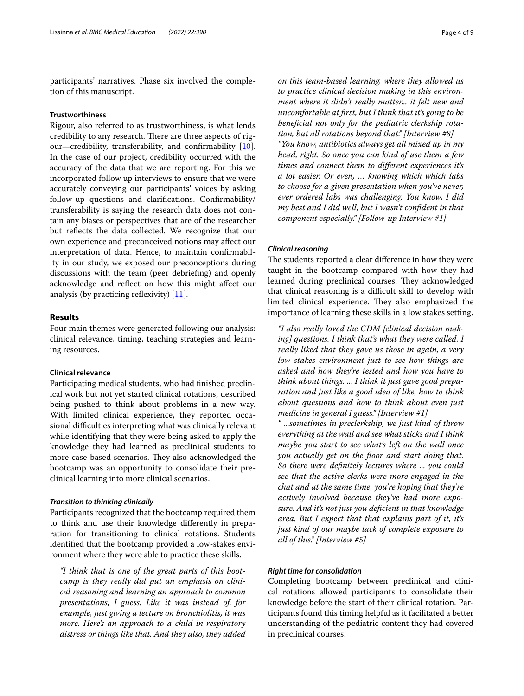participants' narratives. Phase six involved the completion of this manuscript.

# **Trustworthiness**

Rigour, also referred to as trustworthiness, is what lends credibility to any research. There are three aspects of rigour—credibility, transferability, and confrmability [\[10](#page-8-6)]. In the case of our project, credibility occurred with the accuracy of the data that we are reporting. For this we incorporated follow up interviews to ensure that we were accurately conveying our participants' voices by asking follow-up questions and clarifcations. Confrmability/ transferability is saying the research data does not contain any biases or perspectives that are of the researcher but refects the data collected. We recognize that our own experience and preconceived notions may afect our interpretation of data. Hence, to maintain confrmability in our study, we exposed our preconceptions during discussions with the team (peer debriefng) and openly acknowledge and refect on how this might afect our analysis (by practicing reflexivity)  $[11]$  $[11]$  $[11]$ .

# **Results**

Four main themes were generated following our analysis: clinical relevance, timing, teaching strategies and learning resources.

#### **Clinical relevance**

Participating medical students, who had finished preclinical work but not yet started clinical rotations, described being pushed to think about problems in a new way. With limited clinical experience, they reported occasional difficulties interpreting what was clinically relevant while identifying that they were being asked to apply the knowledge they had learned as preclinical students to more case-based scenarios. They also acknowledged the bootcamp was an opportunity to consolidate their preclinical learning into more clinical scenarios.

#### *Transition to thinking clinically*

Participants recognized that the bootcamp required them to think and use their knowledge diferently in preparation for transitioning to clinical rotations. Students identifed that the bootcamp provided a low-stakes environment where they were able to practice these skills.

*"I think that is one of the great parts of this bootcamp is they really did put an emphasis on clinical reasoning and learning an approach to common presentations, I guess. Like it was instead of, for example, just giving a lecture on bronchiolitis, it was more. Here's an approach to a child in respiratory distress or things like that. And they also, they added*  *on this team-based learning, where they allowed us to practice clinical decision making in this environment where it didn't really matter... it felt new and uncomfortable at frst, but I think that it's going to be benefcial not only for the pediatric clerkship rotation, but all rotations beyond that." [Interview #8] "You know, antibiotics always get all mixed up in my head, right. So once you can kind of use them a few times and connect them to diferent experiences it's a lot easier. Or even, … knowing which which labs to choose for a given presentation when you've never, ever ordered labs was challenging. You know, I did my best and I did well, but I wasn't confdent in that component especially." [Follow-up Interview #1]*

# *Clinical reasoning*

The students reported a clear difference in how they were taught in the bootcamp compared with how they had learned during preclinical courses. They acknowledged that clinical reasoning is a difficult skill to develop with limited clinical experience. They also emphasized the importance of learning these skills in a low stakes setting.

*"I also really loved the CDM [clinical decision making] questions. I think that's what they were called. I really liked that they gave us those in again, a very low stakes environment just to see how things are asked and how they're tested and how you have to think about things. ... I think it just gave good preparation and just like a good idea of like, how to think about questions and how to think about even just medicine in general I guess." [Interview #1]*

*" ...sometimes in preclerkship, we just kind of throw everything at the wall and see what sticks and I think maybe you start to see what's left on the wall once you actually get on the foor and start doing that. So there were defnitely lectures where ... you could see that the active clerks were more engaged in the chat and at the same time, you're hoping that they're actively involved because they've had more exposure. And it's not just you defcient in that knowledge area. But I expect that that explains part of it, it's just kind of our maybe lack of complete exposure to all of this." [Interview #5]*

# *Right time for consolidation*

Completing bootcamp between preclinical and clinical rotations allowed participants to consolidate their knowledge before the start of their clinical rotation. Participants found this timing helpful as it facilitated a better understanding of the pediatric content they had covered in preclinical courses.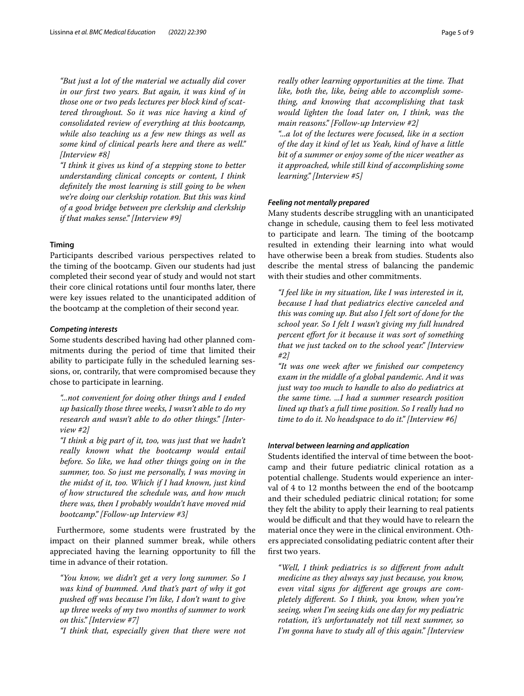*"But just a lot of the material we actually did cover in our frst two years. But again, it was kind of in those one or two peds lectures per block kind of scattered throughout. So it was nice having a kind of consolidated review of everything at this bootcamp, while also teaching us a few new things as well as some kind of clinical pearls here and there as well." [Interview #8]*

*"I think it gives us kind of a stepping stone to better understanding clinical concepts or content, I think defnitely the most learning is still going to be when we're doing our clerkship rotation. But this was kind of a good bridge between pre clerkship and clerkship if that makes sense." [Interview #9]*

#### **Timing**

Participants described various perspectives related to the timing of the bootcamp. Given our students had just completed their second year of study and would not start their core clinical rotations until four months later, there were key issues related to the unanticipated addition of the bootcamp at the completion of their second year.

#### *Competing interests*

Some students described having had other planned commitments during the period of time that limited their ability to participate fully in the scheduled learning sessions, or, contrarily, that were compromised because they chose to participate in learning.

*"...not convenient for doing other things and I ended up basically those three weeks, I wasn't able to do my research and wasn't able to do other things." [Interview #2]*

*"I think a big part of it, too, was just that we hadn't really known what the bootcamp would entail before. So like, we had other things going on in the summer, too. So just me personally, I was moving in the midst of it, too. Which if I had known, just kind of how structured the schedule was, and how much there was, then I probably wouldn't have moved mid bootcamp." [Follow-up Interview #3]*

Furthermore, some students were frustrated by the impact on their planned summer break, while others appreciated having the learning opportunity to fll the time in advance of their rotation.

*"You know, we didn't get a very long summer. So I was kind of bummed. And that's part of why it got pushed of was because I'm like, I don't want to give up three weeks of my two months of summer to work on this." [Interview #7]*

*"I think that, especially given that there were not* 

*really other learning opportunities at the time. That like, both the, like, being able to accomplish something, and knowing that accomplishing that task would lighten the load later on, I think, was the main reasons." [Follow-up Interview #2]*

*"...a lot of the lectures were focused, like in a section of the day it kind of let us Yeah, kind of have a little bit of a summer or enjoy some of the nicer weather as it approached, while still kind of accomplishing some learning." [Interview #5]*

# *Feeling not mentally prepared*

Many students describe struggling with an unanticipated change in schedule, causing them to feel less motivated to participate and learn. The timing of the bootcamp resulted in extending their learning into what would have otherwise been a break from studies. Students also describe the mental stress of balancing the pandemic with their studies and other commitments.

*"I feel like in my situation, like I was interested in it, because I had that pediatrics elective canceled and this was coming up. But also I felt sort of done for the school year. So I felt I wasn't giving my full hundred percent efort for it because it was sort of something that we just tacked on to the school year." [Interview #2]*

*"It was one week after we fnished our competency exam in the middle of a global pandemic. And it was just way too much to handle to also do pediatrics at the same time. ...I had a summer research position lined up that's a full time position. So I really had no time to do it. No headspace to do it." [Interview #6]*

# *Interval between learning and application*

Students identifed the interval of time between the bootcamp and their future pediatric clinical rotation as a potential challenge. Students would experience an interval of 4 to 12 months between the end of the bootcamp and their scheduled pediatric clinical rotation; for some they felt the ability to apply their learning to real patients would be difficult and that they would have to relearn the material once they were in the clinical environment. Others appreciated consolidating pediatric content after their frst two years.

*"Well, I think pediatrics is so diferent from adult medicine as they always say just because, you know, even vital signs for diferent age groups are completely diferent. So I think, you know, when you're seeing, when I'm seeing kids one day for my pediatric rotation, it's unfortunately not till next summer, so I'm gonna have to study all of this again." [Interview*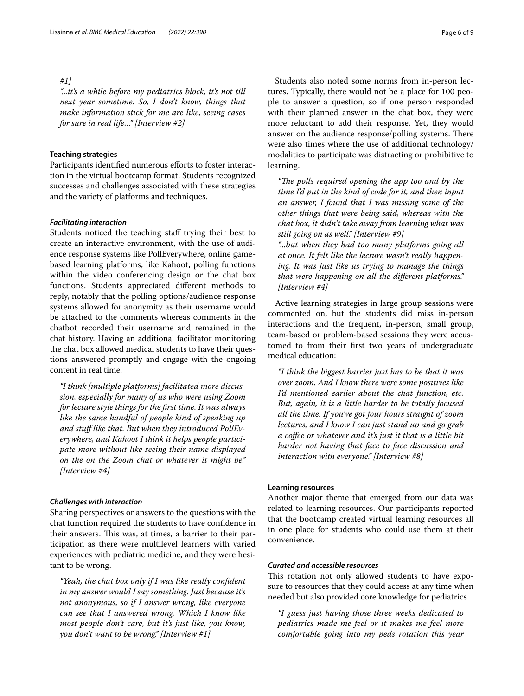# *#1]*

*"...it's a while before my pediatrics block, it's not till next year sometime. So, I don't know, things that make information stick for me are like, seeing cases for sure in real life…" [Interview #2]*

### **Teaching strategies**

Participants identified numerous efforts to foster interaction in the virtual bootcamp format. Students recognized successes and challenges associated with these strategies and the variety of platforms and techniques.

# *Facilitating interaction*

Students noticed the teaching staff trying their best to create an interactive environment, with the use of audience response systems like PollEverywhere, online gamebased learning platforms, like Kahoot, polling functions within the video conferencing design or the chat box functions. Students appreciated diferent methods to reply, notably that the polling options/audience response systems allowed for anonymity as their username would be attached to the comments whereas comments in the chatbot recorded their username and remained in the chat history. Having an additional facilitator monitoring the chat box allowed medical students to have their questions answered promptly and engage with the ongoing content in real time.

*"I think [multiple platforms] facilitated more discussion, especially for many of us who were using Zoom for lecture style things for the frst time. It was always like the same handful of people kind of speaking up and stuf like that. But when they introduced PollEverywhere, and Kahoot I think it helps people participate more without like seeing their name displayed on the on the Zoom chat or whatever it might be." [Interview #4]*

#### *Challenges with interaction*

Sharing perspectives or answers to the questions with the chat function required the students to have confdence in their answers. This was, at times, a barrier to their participation as there were multilevel learners with varied experiences with pediatric medicine, and they were hesitant to be wrong.

*"Yeah, the chat box only if I was like really confdent in my answer would I say something. Just because it's not anonymous, so if I answer wrong, like everyone can see that I answered wrong. Which I know like most people don't care, but it's just like, you know, you don't want to be wrong." [Interview #1]*

Students also noted some norms from in-person lectures. Typically, there would not be a place for 100 people to answer a question, so if one person responded with their planned answer in the chat box, they were more reluctant to add their response. Yet, they would answer on the audience response/polling systems. There were also times where the use of additional technology/ modalities to participate was distracting or prohibitive to learning.

"The polls required opening the app too and by the *time I'd put in the kind of code for it, and then input an answer, I found that I was missing some of the other things that were being said, whereas with the chat box, it didn't take away from learning what was still going on as well." [Interview #9] "...but when they had too many platforms going all* 

*at once. It felt like the lecture wasn't really happening. It was just like us trying to manage the things that were happening on all the diferent platforms." [Interview #4]*

Active learning strategies in large group sessions were commented on, but the students did miss in-person interactions and the frequent, in-person, small group, team-based or problem-based sessions they were accustomed to from their frst two years of undergraduate medical education:

*"I think the biggest barrier just has to be that it was over zoom. And I know there were some positives like I'd mentioned earlier about the chat function, etc. But, again, it is a little harder to be totally focused all the time. If you've got four hours straight of zoom lectures, and I know I can just stand up and go grab a cofee or whatever and it's just it that is a little bit harder not having that face to face discussion and interaction with everyone." [Interview #8]*

## **Learning resources**

Another major theme that emerged from our data was related to learning resources. Our participants reported that the bootcamp created virtual learning resources all in one place for students who could use them at their convenience.

# *Curated and accessible resources*

This rotation not only allowed students to have exposure to resources that they could access at any time when needed but also provided core knowledge for pediatrics.

*"I guess just having those three weeks dedicated to pediatrics made me feel or it makes me feel more comfortable going into my peds rotation this year*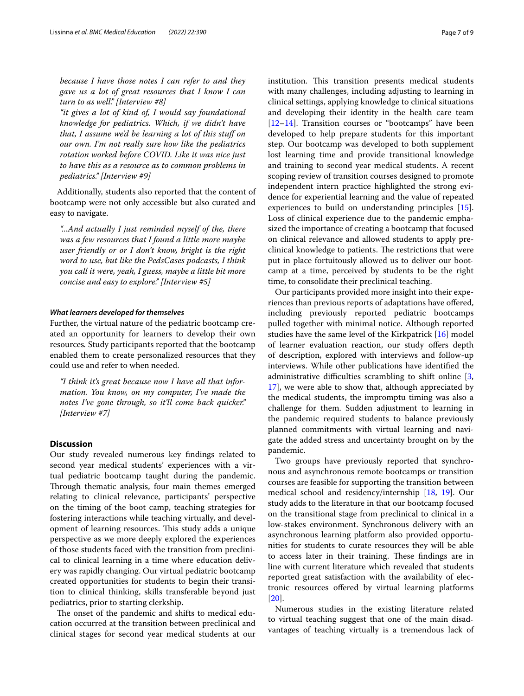*because I have those notes I can refer to and they gave us a lot of great resources that I know I can turn to as well." [Interview #8]*

*"it gives a lot of kind of, I would say foundational knowledge for pediatrics. Which, if we didn't have that, I assume we'd be learning a lot of this stuf on our own. I'm not really sure how like the pediatrics rotation worked before COVID. Like it was nice just to have this as a resource as to common problems in pediatrics." [Interview #9]*

Additionally, students also reported that the content of bootcamp were not only accessible but also curated and easy to navigate.

*"...And actually I just reminded myself of the, there was a few resources that I found a little more maybe user friendly or or I don't know, bright is the right word to use, but like the PedsCases podcasts, I think you call it were, yeah, I guess, maybe a little bit more concise and easy to explore." [Interview #5]*

#### *What learners developed for themselves*

Further, the virtual nature of the pediatric bootcamp created an opportunity for learners to develop their own resources*.* Study participants reported that the bootcamp enabled them to create personalized resources that they could use and refer to when needed.

*"I think it's great because now I have all that information. You know, on my computer, I've made the notes I've gone through, so it'll come back quicker." [Interview #7]*

# **Discussion**

Our study revealed numerous key fndings related to second year medical students' experiences with a virtual pediatric bootcamp taught during the pandemic. Through thematic analysis, four main themes emerged relating to clinical relevance, participants' perspective on the timing of the boot camp, teaching strategies for fostering interactions while teaching virtually, and development of learning resources. This study adds a unique perspective as we more deeply explored the experiences of those students faced with the transition from preclinical to clinical learning in a time where education delivery was rapidly changing. Our virtual pediatric bootcamp created opportunities for students to begin their transition to clinical thinking, skills transferable beyond just pediatrics, prior to starting clerkship.

The onset of the pandemic and shifts to medical education occurred at the transition between preclinical and clinical stages for second year medical students at our institution. This transition presents medical students with many challenges, including adjusting to learning in clinical settings, applying knowledge to clinical situations and developing their identity in the health care team [[12–](#page-8-8)[14\]](#page-8-9). Transition courses or "bootcamps" have been developed to help prepare students for this important step. Our bootcamp was developed to both supplement lost learning time and provide transitional knowledge and training to second year medical students. A recent scoping review of transition courses designed to promote independent intern practice highlighted the strong evidence for experiential learning and the value of repeated experiences to build on understanding principles [\[15](#page-8-10)]. Loss of clinical experience due to the pandemic emphasized the importance of creating a bootcamp that focused on clinical relevance and allowed students to apply preclinical knowledge to patients. The restrictions that were put in place fortuitously allowed us to deliver our bootcamp at a time, perceived by students to be the right time, to consolidate their preclinical teaching.

Our participants provided more insight into their experiences than previous reports of adaptations have ofered, including previously reported pediatric bootcamps pulled together with minimal notice. Although reported studies have the same level of the Kirkpatrick [\[16\]](#page-8-11) model of learner evaluation reaction, our study offers depth of description, explored with interviews and follow-up interviews. While other publications have identifed the administrative difficulties scrambling to shift online  $[3, 3]$  $[3, 3]$ [17\]](#page-8-13), we were able to show that, although appreciated by the medical students, the impromptu timing was also a challenge for them. Sudden adjustment to learning in the pandemic required students to balance previously planned commitments with virtual learning and navigate the added stress and uncertainty brought on by the pandemic.

Two groups have previously reported that synchronous and asynchronous remote bootcamps or transition courses are feasible for supporting the transition between medical school and residency/internship [\[18,](#page-8-14) [19\]](#page-8-15). Our study adds to the literature in that our bootcamp focused on the transitional stage from preclinical to clinical in a low-stakes environment. Synchronous delivery with an asynchronous learning platform also provided opportunities for students to curate resources they will be able to access later in their training. These findings are in line with current literature which revealed that students reported great satisfaction with the availability of electronic resources ofered by virtual learning platforms [[20\]](#page-8-16).

Numerous studies in the existing literature related to virtual teaching suggest that one of the main disadvantages of teaching virtually is a tremendous lack of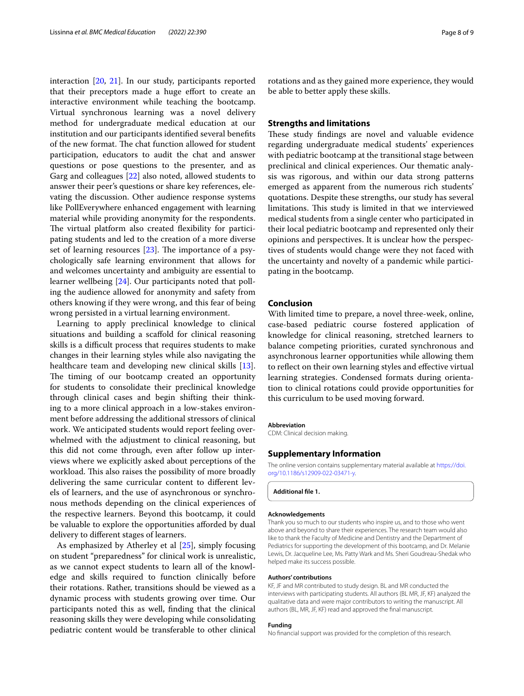interaction [[20](#page-8-16), [21](#page-8-17)]. In our study, participants reported that their preceptors made a huge effort to create an interactive environment while teaching the bootcamp. Virtual synchronous learning was a novel delivery method for undergraduate medical education at our institution and our participants identifed several benefts of the new format. The chat function allowed for student participation, educators to audit the chat and answer questions or pose questions to the presenter, and as Garg and colleagues [\[22](#page-8-18)] also noted, allowed students to answer their peer's questions or share key references, elevating the discussion. Other audience response systems like PollEverywhere enhanced engagement with learning material while providing anonymity for the respondents. The virtual platform also created flexibility for participating students and led to the creation of a more diverse set of learning resources  $[23]$  $[23]$ . The importance of a psychologically safe learning environment that allows for and welcomes uncertainty and ambiguity are essential to learner wellbeing [\[24](#page-8-20)]. Our participants noted that polling the audience allowed for anonymity and safety from others knowing if they were wrong, and this fear of being wrong persisted in a virtual learning environment.

Learning to apply preclinical knowledge to clinical situations and building a scafold for clinical reasoning skills is a difficult process that requires students to make changes in their learning styles while also navigating the healthcare team and developing new clinical skills [\[13](#page-8-21)]. The timing of our bootcamp created an opportunity for students to consolidate their preclinical knowledge through clinical cases and begin shifting their thinking to a more clinical approach in a low-stakes environment before addressing the additional stressors of clinical work. We anticipated students would report feeling overwhelmed with the adjustment to clinical reasoning, but this did not come through, even after follow up interviews where we explicitly asked about perceptions of the workload. This also raises the possibility of more broadly delivering the same curricular content to diferent levels of learners, and the use of asynchronous or synchronous methods depending on the clinical experiences of the respective learners. Beyond this bootcamp, it could be valuable to explore the opportunities afforded by dual delivery to diferent stages of learners.

As emphasized by Atherley et al [\[25\]](#page-8-22), simply focusing on student "preparedness" for clinical work is unrealistic, as we cannot expect students to learn all of the knowledge and skills required to function clinically before their rotations. Rather, transitions should be viewed as a dynamic process with students growing over time. Our participants noted this as well, fnding that the clinical reasoning skills they were developing while consolidating pediatric content would be transferable to other clinical rotations and as they gained more experience, they would be able to better apply these skills.

# **Strengths and limitations**

These study findings are novel and valuable evidence regarding undergraduate medical students' experiences with pediatric bootcamp at the transitional stage between preclinical and clinical experiences. Our thematic analysis was rigorous, and within our data strong patterns emerged as apparent from the numerous rich students' quotations. Despite these strengths, our study has several limitations. This study is limited in that we interviewed medical students from a single center who participated in their local pediatric bootcamp and represented only their opinions and perspectives. It is unclear how the perspectives of students would change were they not faced with the uncertainty and novelty of a pandemic while participating in the bootcamp.

#### **Conclusion**

With limited time to prepare, a novel three-week, online, case-based pediatric course fostered application of knowledge for clinical reasoning, stretched learners to balance competing priorities, curated synchronous and asynchronous learner opportunities while allowing them to refect on their own learning styles and efective virtual learning strategies. Condensed formats during orientation to clinical rotations could provide opportunities for this curriculum to be used moving forward.

#### **Abbreviation**

CDM: Clinical decision making.

#### **Supplementary Information**

The online version contains supplementary material available at [https://doi.](https://doi.org/10.1186/s12909-022-03471-y) [org/10.1186/s12909-022-03471-y.](https://doi.org/10.1186/s12909-022-03471-y)

**Additional fle 1.**

#### **Acknowledgements**

Thank you so much to our students who inspire us, and to those who went above and beyond to share their experiences. The research team would also like to thank the Faculty of Medicine and Dentistry and the Department of Pediatrics for supporting the development of this bootcamp, and Dr. Melanie Lewis, Dr. Jacqueline Lee, Ms. Patty Wark and Ms. Sheri Goudreau-Shedak who helped make its success possible.

#### **Authors' contributions**

KF, JF and MR contributed to study design. BL and MR conducted the interviews with participating students. All authors (BL MR, JF, KF) analyzed the qualitative data and were major contributors to writing the manuscript. All authors (BL, MR, JF, KF) read and approved the fnal manuscript.

#### **Funding**

No fnancial support was provided for the completion of this research.